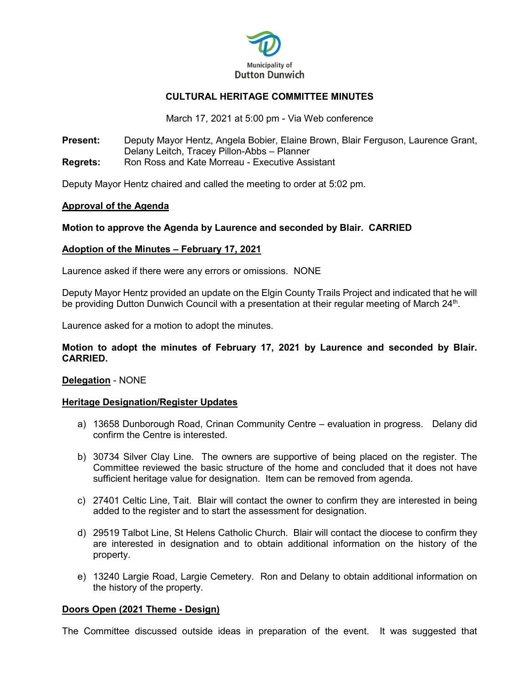

# **CULTURAL HERITAGE COMMITTEE MINUTES**

March 17, 2021 at 5:00 pm - Via Web conference

**Present:** Deputy Mayor Hentz, Angela Bobier, Elaine Brown, Blair Ferguson, Laurence Grant, Delany Leitch, Tracey Pillon-Abbs – Planner **Regrets:** Ron Ross and Kate Morreau - Executive Assistant

Deputy Mayor Hentz chaired and called the meeting to order at 5:02 pm.

## **Approval of the Agenda**

# **Motion to approve the Agenda by Laurence and seconded by Blair. CARRIED**

## **Adoption of the Minutes – February 17, 2021**

Laurence asked if there were any errors or omissions. NONE

Deputy Mayor Hentz provided an update on the Elgin County Trails Project and indicated that he will be providing Dutton Dunwich Council with a presentation at their regular meeting of March 24<sup>th</sup>.

Laurence asked for a motion to adopt the minutes.

## **Motion to adopt the minutes of February 17, 2021 by Laurence and seconded by Blair. CARRIED.**

## **Delegation** - NONE

## **Heritage Designation/Register Updates**

- a) 13658 Dunborough Road, Crinan Community Centre evaluation in progress. Delany did confirm the Centre is interested.
- b) 30734 Silver Clay Line. The owners are supportive of being placed on the register. The Committee reviewed the basic structure of the home and concluded that it does not have sufficient heritage value for designation. Item can be removed from agenda.
- c) 27401 Celtic Line, Tait. Blair will contact the owner to confirm they are interested in being added to the register and to start the assessment for designation.
- d) 29519 Talbot Line, St Helens Catholic Church. Blair will contact the diocese to confirm they are interested in designation and to obtain additional information on the history of the property.
- e) 13240 Largie Road, Largie Cemetery. Ron and Delany to obtain additional information on the history of the property.

## **Doors Open (2021 Theme - Design)**

The Committee discussed outside ideas in preparation of the event. It was suggested that